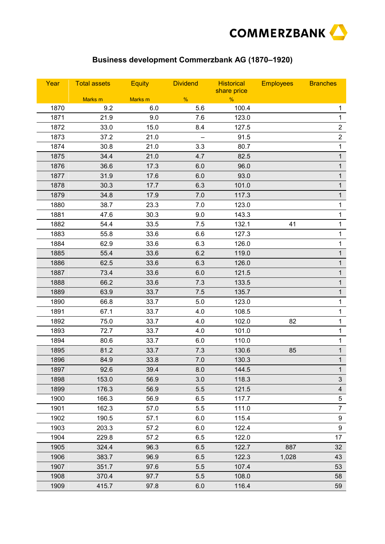

## **Business development Commerzbank AG (1870–1920)**

| Year | <b>Total assets</b> | <b>Equity</b> | <b>Dividend</b> | <b>Historical</b><br>share price | <b>Employees</b> | <b>Branches</b>         |
|------|---------------------|---------------|-----------------|----------------------------------|------------------|-------------------------|
|      | Marks m             | Marks m       | %               | %                                |                  |                         |
| 1870 | 9.2                 | 6.0           | 5.6             | 100.4                            |                  | 1                       |
| 1871 | 21.9                | 9.0           | 7.6             | 123.0                            |                  | $\overline{1}$          |
| 1872 | 33.0                | 15.0          | 8.4             | 127.5                            |                  | $\overline{2}$          |
| 1873 | 37.2                | 21.0          |                 | 91.5                             |                  | $\overline{2}$          |
| 1874 | 30.8                | 21.0          | 3.3             | 80.7                             |                  | $\mathbf{1}$            |
| 1875 | 34.4                | 21.0          | 4.7             | 82.5                             |                  | $\mathbf{1}$            |
| 1876 | 36.6                | 17.3          | 6.0             | 96.0                             |                  | $\mathbf{1}$            |
| 1877 | 31.9                | 17.6          | 6.0             | 93.0                             |                  | $\mathbf{1}$            |
| 1878 | 30.3                | 17.7          | 6.3             | 101.0                            |                  | $\mathbf{1}$            |
| 1879 | 34.8                | 17.9          | 7.0             | 117.3                            |                  | $\mathbf{1}$            |
| 1880 | 38.7                | 23.3          | 7.0             | 123.0                            |                  | 1                       |
| 1881 | 47.6                | 30.3          | 9.0             | 143.3                            |                  | 1                       |
| 1882 | 54.4                | 33.5          | 7.5             | 132.1                            | 41               | 1                       |
| 1883 | 55.8                | 33.6          | 6.6             | 127.3                            |                  | 1                       |
| 1884 | 62.9                | 33.6          | 6.3             | 126.0                            |                  | 1                       |
| 1885 | 55.4                | 33.6          | 6.2             | 119.0                            |                  | $\mathbf{1}$            |
| 1886 | 62.5                | 33.6          | 6.3             | 126.0                            |                  | $\mathbf{1}$            |
| 1887 | 73.4                | 33.6          | 6.0             | 121.5                            |                  | $\mathbf{1}$            |
| 1888 | 66.2                | 33.6          | 7.3             | 133.5                            |                  | $\mathbf{1}$            |
| 1889 | 63.9                | 33.7          | 7.5             | 135.7                            |                  | $\mathbf{1}$            |
| 1890 | 66.8                | 33.7          | 5.0             | 123.0                            |                  | 1                       |
| 1891 | 67.1                | 33.7          | 4.0             | 108.5                            |                  | 1                       |
| 1892 | 75.0                | 33.7          | 4.0             | 102.0                            | 82               | 1                       |
| 1893 | 72.7                | 33.7          | 4.0             | 101.0                            |                  | 1                       |
| 1894 | 80.6                | 33.7          | 6.0             | 110.0                            |                  | 1                       |
| 1895 | 81.2                | 33.7          | 7.3             | 130.6                            | 85               | $\mathbf{1}$            |
| 1896 | 84.9                | 33.8          | 7.0             | 130.3                            |                  | $\mathbf{1}$            |
| 1897 | 92.6                | 39.4          | 8.0             | 144.5                            |                  | 1                       |
| 1898 | 153.0               | 56.9          | 3.0             | 118.3                            |                  | $\mathfrak{S}$          |
| 1899 | 176.3               | 56.9          | 5.5             | 121.5                            |                  | $\overline{\mathbf{4}}$ |
| 1900 | 166.3               | 56.9          | 6.5             | 117.7                            |                  | 5                       |
| 1901 | 162.3               | 57.0          | 5.5             | 111.0                            |                  | $\overline{7}$          |
| 1902 | 190.5               | 57.1          | 6.0             | 115.4                            |                  | 9                       |
| 1903 | 203.3               | 57.2          | 6.0             | 122.4                            |                  | $\boldsymbol{9}$        |
| 1904 | 229.8               | 57.2          | 6.5             | 122.0                            |                  | 17                      |
| 1905 | 324.4               | 96.3          | 6.5             | 122.7                            | 887              | 32                      |
| 1906 | 383.7               | 96.9          | 6.5             | 122.3                            | 1,028            | 43                      |
| 1907 | 351.7               | 97.6          | 5.5             | 107.4                            |                  | 53                      |
| 1908 | 370.4               | 97.7          | 5.5             | 108.0                            |                  | 58                      |
| 1909 | 415.7               | 97.8          | 6.0             | 116.4                            |                  | 59                      |